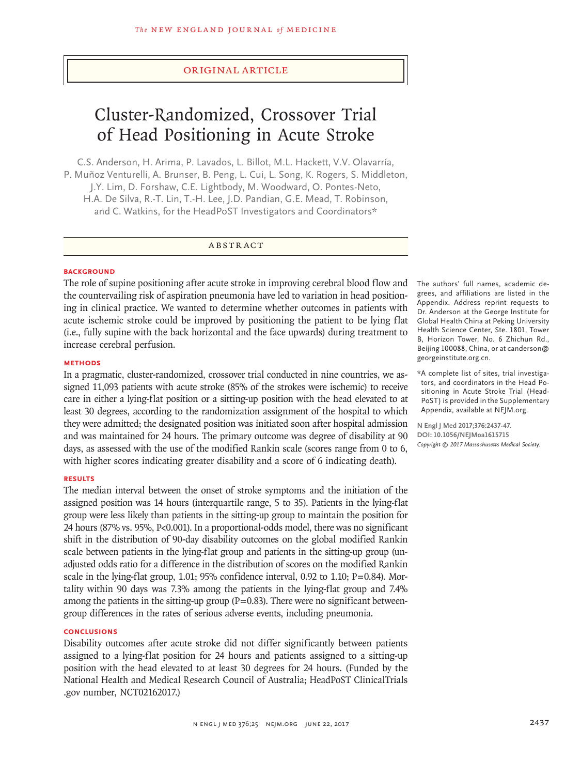# Original Article

# Cluster-Randomized, Crossover Trial of Head Positioning in Acute Stroke

C.S. Anderson, H. Arima, P. Lavados, L. Billot, M.L. Hackett, V.V. Olavarría, P. Muñoz Venturelli, A. Brunser, B. Peng, L. Cui, L. Song, K. Rogers, S. Middleton, J.Y. Lim, D. Forshaw, C.E. Lightbody, M. Woodward, O. Pontes‑Neto, H.A. De Silva, R.-T. Lin, T.-H. Lee, J.D. Pandian, G.E. Mead, T. Robinson, and C. Watkins, for the HeadPoST Investigators and Coordinators\*

# ABSTRACT

### **BACKGROUND**

The role of supine positioning after acute stroke in improving cerebral blood flow and the countervailing risk of aspiration pneumonia have led to variation in head positioning in clinical practice. We wanted to determine whether outcomes in patients with acute ischemic stroke could be improved by positioning the patient to be lying flat (i.e., fully supine with the back horizontal and the face upwards) during treatment to increase cerebral perfusion.

# **METHODS**

In a pragmatic, cluster-randomized, crossover trial conducted in nine countries, we assigned 11,093 patients with acute stroke (85% of the strokes were ischemic) to receive care in either a lying-flat position or a sitting-up position with the head elevated to at least 30 degrees, according to the randomization assignment of the hospital to which they were admitted; the designated position was initiated soon after hospital admission and was maintained for 24 hours. The primary outcome was degree of disability at 90 days, as assessed with the use of the modified Rankin scale (scores range from 0 to 6, with higher scores indicating greater disability and a score of 6 indicating death).

# **RESULTS**

The median interval between the onset of stroke symptoms and the initiation of the assigned position was 14 hours (interquartile range, 5 to 35). Patients in the lying-flat group were less likely than patients in the sitting-up group to maintain the position for 24 hours (87% vs. 95%, P<0.001). In a proportional-odds model, there was no significant shift in the distribution of 90-day disability outcomes on the global modified Rankin scale between patients in the lying-flat group and patients in the sitting-up group (unadjusted odds ratio for a difference in the distribution of scores on the modified Rankin scale in the lying-flat group, 1.01; 95% confidence interval, 0.92 to 1.10; P=0.84). Mortality within 90 days was 7.3% among the patients in the lying-flat group and 7.4% among the patients in the sitting-up group  $(P=0.83)$ . There were no significant betweengroup differences in the rates of serious adverse events, including pneumonia.

# **CONCLUSIONS**

Disability outcomes after acute stroke did not differ significantly between patients assigned to a lying-flat position for 24 hours and patients assigned to a sitting-up position with the head elevated to at least 30 degrees for 24 hours. (Funded by the National Health and Medical Research Council of Australia; HeadPoST ClinicalTrials .gov number, NCT02162017.)

The authors' full names, academic degrees, and affiliations are listed in the Appendix. Address reprint requests to Dr. Anderson at the George Institute for Global Health China at Peking University Health Science Center, Ste. 1801, Tower B, Horizon Tower, No. 6 Zhichun Rd., Beijing 100088, China, or at canderson@ georgeinstitute.org.cn.

\*A complete list of sites, trial investiga‑ tors, and coordinators in the Head Positioning in Acute Stroke Trial (Head-PoST) is provided in the Supplementary Appendix, available at NEJM.org.

**N Engl J Med 2017;376:2437-47. DOI: 10.1056/NEJMoa1615715** *Copyright © 2017 Massachusetts Medical Society.*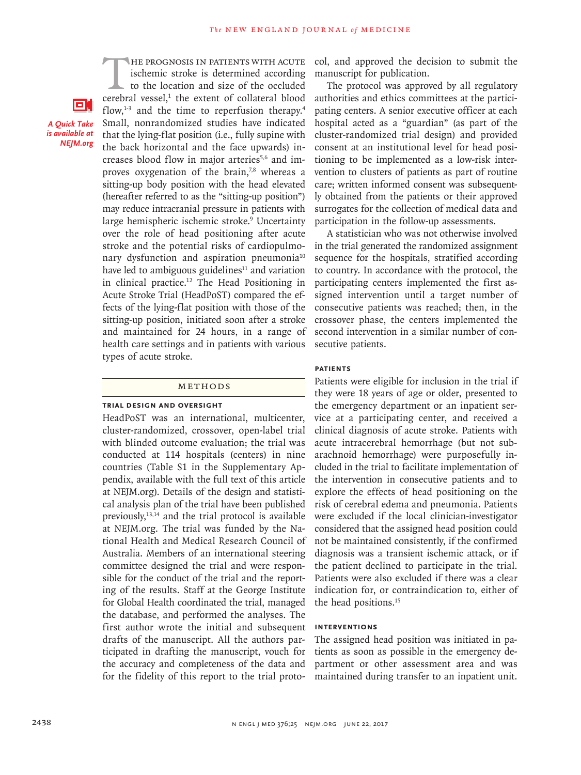O.

*A Quick Take is available at NEJM.org*

THE PROGNOSIS IN PATIENTS WITH ACUTE ischemic stroke is determined according to the location and size of the occluded cerebral vessel,<sup>1</sup> the extent of collateral blood ischemic stroke is determined according to the location and size of the occluded flow, $1-3$  and the time to reperfusion therapy.<sup>4</sup> Small, nonrandomized studies have indicated that the lying-flat position (i.e., fully supine with the back horizontal and the face upwards) increases blood flow in major arteries<sup>5,6</sup> and improves oxygenation of the brain, $7,8$  whereas a sitting-up body position with the head elevated (hereafter referred to as the "sitting-up position") may reduce intracranial pressure in patients with large hemispheric ischemic stroke.<sup>9</sup> Uncertainty over the role of head positioning after acute stroke and the potential risks of cardiopulmonary dysfunction and aspiration pneumonia<sup>10</sup> have led to ambiguous guidelines $11$  and variation in clinical practice.12 The Head Positioning in Acute Stroke Trial (HeadPoST) compared the effects of the lying-flat position with those of the sitting-up position, initiated soon after a stroke and maintained for 24 hours, in a range of health care settings and in patients with various types of acute stroke.

#### Methods

### **Trial Design and Oversight**

HeadPoST was an international, multicenter, cluster-randomized, crossover, open-label trial with blinded outcome evaluation; the trial was conducted at 114 hospitals (centers) in nine countries (Table S1 in the Supplementary Appendix, available with the full text of this article at NEJM.org). Details of the design and statistical analysis plan of the trial have been published previously,13,14 and the trial protocol is available at NEJM.org. The trial was funded by the National Health and Medical Research Council of Australia. Members of an international steering committee designed the trial and were responsible for the conduct of the trial and the reporting of the results. Staff at the George Institute for Global Health coordinated the trial, managed the database, and performed the analyses. The first author wrote the initial and subsequent drafts of the manuscript. All the authors participated in drafting the manuscript, vouch for the accuracy and completeness of the data and for the fidelity of this report to the trial protocol, and approved the decision to submit the manuscript for publication.

The protocol was approved by all regulatory authorities and ethics committees at the participating centers. A senior executive officer at each hospital acted as a "guardian" (as part of the cluster-randomized trial design) and provided consent at an institutional level for head positioning to be implemented as a low-risk intervention to clusters of patients as part of routine care; written informed consent was subsequently obtained from the patients or their approved surrogates for the collection of medical data and participation in the follow-up assessments.

A statistician who was not otherwise involved in the trial generated the randomized assignment sequence for the hospitals, stratified according to country. In accordance with the protocol, the participating centers implemented the first assigned intervention until a target number of consecutive patients was reached; then, in the crossover phase, the centers implemented the second intervention in a similar number of consecutive patients.

# **Patients**

Patients were eligible for inclusion in the trial if they were 18 years of age or older, presented to the emergency department or an inpatient service at a participating center, and received a clinical diagnosis of acute stroke. Patients with acute intracerebral hemorrhage (but not subarachnoid hemorrhage) were purposefully included in the trial to facilitate implementation of the intervention in consecutive patients and to explore the effects of head positioning on the risk of cerebral edema and pneumonia. Patients were excluded if the local clinician-investigator considered that the assigned head position could not be maintained consistently, if the confirmed diagnosis was a transient ischemic attack, or if the patient declined to participate in the trial. Patients were also excluded if there was a clear indication for, or contraindication to, either of the head positions.15

# **Interventions**

The assigned head position was initiated in patients as soon as possible in the emergency department or other assessment area and was maintained during transfer to an inpatient unit.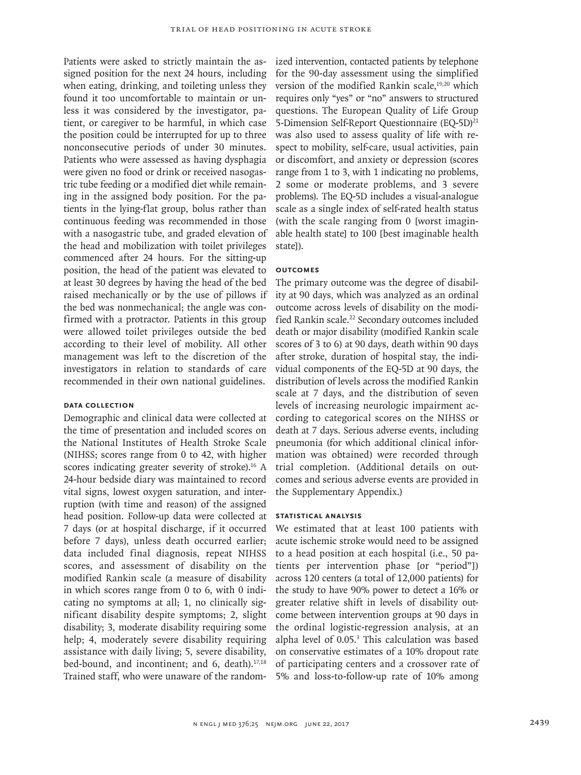Patients were asked to strictly maintain the assigned position for the next 24 hours, including when eating, drinking, and toileting unless they found it too uncomfortable to maintain or unless it was considered by the investigator, patient, or caregiver to be harmful, in which case the position could be interrupted for up to three nonconsecutive periods of under 30 minutes. Patients who were assessed as having dysphagia were given no food or drink or received nasogastric tube feeding or a modified diet while remaining in the assigned body position. For the patients in the lying-flat group, bolus rather than continuous feeding was recommended in those with a nasogastric tube, and graded elevation of the head and mobilization with toilet privileges commenced after 24 hours. For the sitting-up position, the head of the patient was elevated to at least 30 degrees by having the head of the bed raised mechanically or by the use of pillows if the bed was nonmechanical; the angle was confirmed with a protractor. Patients in this group were allowed toilet privileges outside the bed according to their level of mobility. All other management was left to the discretion of the investigators in relation to standards of care recommended in their own national guidelines.

# **Data Collection**

Demographic and clinical data were collected at the time of presentation and included scores on the National Institutes of Health Stroke Scale (NIHSS; scores range from 0 to 42, with higher scores indicating greater severity of stroke).<sup>16</sup> A 24-hour bedside diary was maintained to record vital signs, lowest oxygen saturation, and interruption (with time and reason) of the assigned head position. Follow-up data were collected at 7 days (or at hospital discharge, if it occurred before 7 days), unless death occurred earlier; data included final diagnosis, repeat NIHSS scores, and assessment of disability on the modified Rankin scale (a measure of disability in which scores range from 0 to 6, with 0 indicating no symptoms at all; 1, no clinically significant disability despite symptoms; 2, slight disability; 3, moderate disability requiring some help; 4, moderately severe disability requiring assistance with daily living; 5, severe disability, bed-bound, and incontinent; and  $6$ , death).<sup>17,18</sup> Trained staff, who were unaware of the randomized intervention, contacted patients by telephone for the 90-day assessment using the simplified version of the modified Rankin scale,<sup>19,20</sup> which requires only "yes" or "no" answers to structured questions. The European Quality of Life Group 5-Dimension Self-Report Questionnaire (EQ-5D)<sup>21</sup> was also used to assess quality of life with respect to mobility, self-care, usual activities, pain or discomfort, and anxiety or depression (scores range from 1 to 3, with 1 indicating no problems, 2 some or moderate problems, and 3 severe problems). The EQ-5D includes a visual-analogue scale as a single index of self-rated health status (with the scale ranging from 0 [worst imaginable health state] to 100 [best imaginable health state]).

# **Outcomes**

The primary outcome was the degree of disability at 90 days, which was analyzed as an ordinal outcome across levels of disability on the modified Rankin scale.<sup>22</sup> Secondary outcomes included death or major disability (modified Rankin scale scores of 3 to 6) at 90 days, death within 90 days after stroke, duration of hospital stay, the individual components of the EQ-5D at 90 days, the distribution of levels across the modified Rankin scale at 7 days, and the distribution of seven levels of increasing neurologic impairment according to categorical scores on the NIHSS or death at 7 days. Serious adverse events, including pneumonia (for which additional clinical information was obtained) were recorded through trial completion. (Additional details on outcomes and serious adverse events are provided in the Supplementary Appendix.)

## **Statistical Analysis**

We estimated that at least 100 patients with acute ischemic stroke would need to be assigned to a head position at each hospital (i.e., 50 patients per intervention phase [or "period"]) across 120 centers (a total of 12,000 patients) for the study to have 90% power to detect a 16% or greater relative shift in levels of disability outcome between intervention groups at 90 days in the ordinal logistic-regression analysis, at an alpha level of 0.05.<sup>3</sup> This calculation was based on conservative estimates of a 10% dropout rate of participating centers and a crossover rate of 5% and loss-to-follow-up rate of 10% among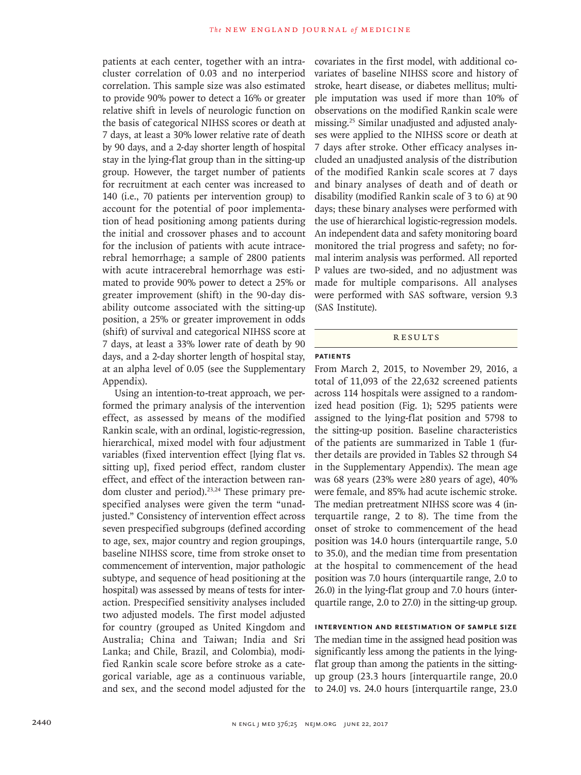patients at each center, together with an intracluster correlation of 0.03 and no interperiod correlation. This sample size was also estimated to provide 90% power to detect a 16% or greater relative shift in levels of neurologic function on the basis of categorical NIHSS scores or death at 7 days, at least a 30% lower relative rate of death by 90 days, and a 2-day shorter length of hospital stay in the lying-flat group than in the sitting-up group. However, the target number of patients for recruitment at each center was increased to 140 (i.e., 70 patients per intervention group) to account for the potential of poor implementation of head positioning among patients during the initial and crossover phases and to account for the inclusion of patients with acute intracerebral hemorrhage; a sample of 2800 patients with acute intracerebral hemorrhage was estimated to provide 90% power to detect a 25% or greater improvement (shift) in the 90-day disability outcome associated with the sitting-up position, a 25% or greater improvement in odds (shift) of survival and categorical NIHSS score at 7 days, at least a 33% lower rate of death by 90 days, and a 2-day shorter length of hospital stay, at an alpha level of 0.05 (see the Supplementary Appendix).

Using an intention-to-treat approach, we performed the primary analysis of the intervention effect, as assessed by means of the modified Rankin scale, with an ordinal, logistic-regression, hierarchical, mixed model with four adjustment variables (fixed intervention effect [lying flat vs. sitting up], fixed period effect, random cluster effect, and effect of the interaction between random cluster and period).<sup>23,24</sup> These primary prespecified analyses were given the term "unadjusted." Consistency of intervention effect across seven prespecified subgroups (defined according to age, sex, major country and region groupings, baseline NIHSS score, time from stroke onset to commencement of intervention, major pathologic subtype, and sequence of head positioning at the hospital) was assessed by means of tests for interaction. Prespecified sensitivity analyses included two adjusted models. The first model adjusted for country (grouped as United Kingdom and Australia; China and Taiwan; India and Sri Lanka; and Chile, Brazil, and Colombia), modified Rankin scale score before stroke as a categorical variable, age as a continuous variable, and sex, and the second model adjusted for the covariates in the first model, with additional covariates of baseline NIHSS score and history of stroke, heart disease, or diabetes mellitus; multiple imputation was used if more than 10% of observations on the modified Rankin scale were missing.25 Similar unadjusted and adjusted analyses were applied to the NIHSS score or death at 7 days after stroke. Other efficacy analyses included an unadjusted analysis of the distribution of the modified Rankin scale scores at 7 days and binary analyses of death and of death or disability (modified Rankin scale of 3 to 6) at 90 days; these binary analyses were performed with the use of hierarchical logistic-regression models. An independent data and safety monitoring board monitored the trial progress and safety; no formal interim analysis was performed. All reported P values are two-sided, and no adjustment was made for multiple comparisons. All analyses were performed with SAS software, version 9.3 (SAS Institute).

#### Results

# **Patients**

From March 2, 2015, to November 29, 2016, a total of 11,093 of the 22,632 screened patients across 114 hospitals were assigned to a randomized head position (Fig. 1); 5295 patients were assigned to the lying-flat position and 5798 to the sitting-up position. Baseline characteristics of the patients are summarized in Table 1 (further details are provided in Tables S2 through S4 in the Supplementary Appendix). The mean age was 68 years (23% were ≥80 years of age), 40% were female, and 85% had acute ischemic stroke. The median pretreatment NIHSS score was 4 (interquartile range, 2 to 8). The time from the onset of stroke to commencement of the head position was 14.0 hours (interquartile range, 5.0 to 35.0), and the median time from presentation at the hospital to commencement of the head position was 7.0 hours (interquartile range, 2.0 to 26.0) in the lying-flat group and 7.0 hours (interquartile range, 2.0 to 27.0) in the sitting-up group.

# **Intervention and Reestimation of Sample Size**

The median time in the assigned head position was significantly less among the patients in the lyingflat group than among the patients in the sittingup group (23.3 hours [interquartile range, 20.0 to 24.0] vs. 24.0 hours [interquartile range, 23.0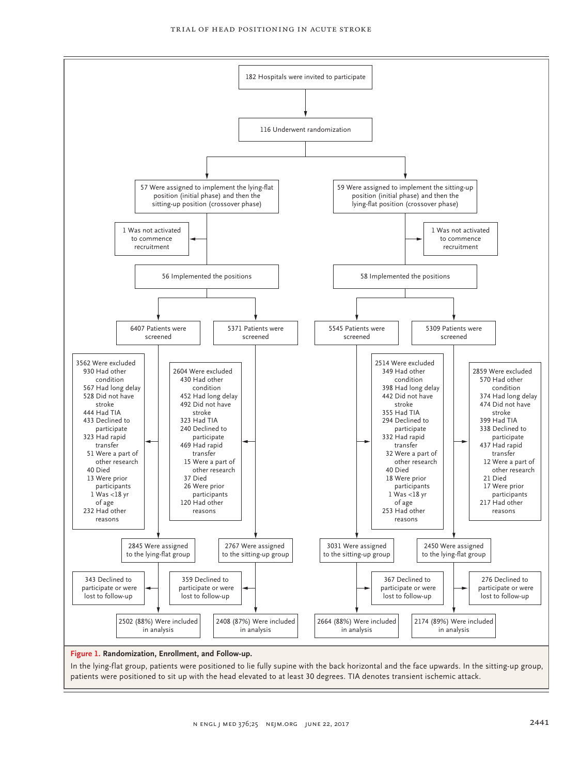

patients were positioned to sit up with the head elevated to at least 30 degrees. TIA denotes transient ischemic attack.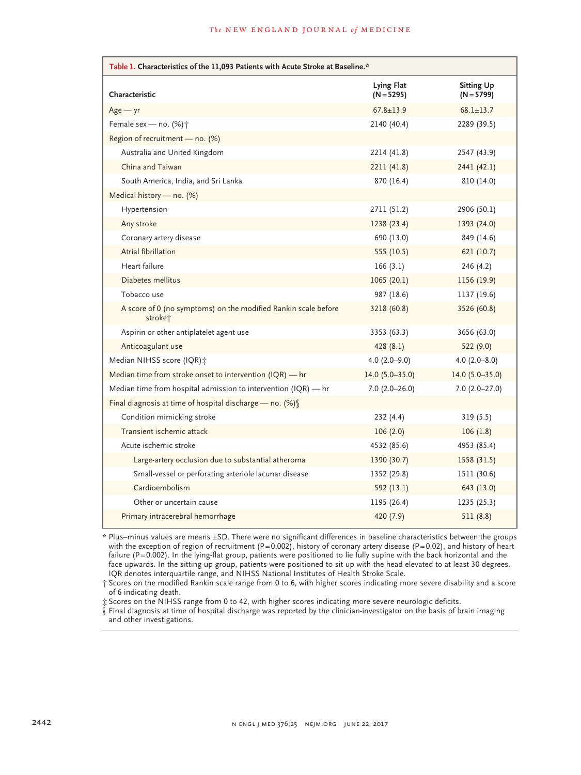| Table 1. Characteristics of the 11,093 Patients with Acute Stroke at Baseline.*       |                                   |                                   |  |  |  |
|---------------------------------------------------------------------------------------|-----------------------------------|-----------------------------------|--|--|--|
| Characteristic                                                                        | <b>Lying Flat</b><br>$(N = 5295)$ | <b>Sitting Up</b><br>$(N = 5799)$ |  |  |  |
| $Age - yr$                                                                            | $67.8 \pm 13.9$                   | $68.1 \pm 13.7$                   |  |  |  |
| Female sex - no. (%) <sup>+</sup>                                                     | 2140 (40.4)                       | 2289 (39.5)                       |  |  |  |
| Region of recruitment - no. (%)                                                       |                                   |                                   |  |  |  |
| Australia and United Kingdom                                                          | 2214 (41.8)                       | 2547 (43.9)                       |  |  |  |
| China and Taiwan                                                                      | 2211 (41.8)                       | 2441 (42.1)                       |  |  |  |
| South America, India, and Sri Lanka                                                   | 870 (16.4)                        | 810 (14.0)                        |  |  |  |
| Medical history - no. (%)                                                             |                                   |                                   |  |  |  |
| Hypertension                                                                          | 2711 (51.2)                       | 2906 (50.1)                       |  |  |  |
| Any stroke                                                                            | 1238 (23.4)                       | 1393 (24.0)                       |  |  |  |
| Coronary artery disease                                                               | 690 (13.0)                        | 849 (14.6)                        |  |  |  |
| Atrial fibrillation                                                                   | 555 (10.5)                        | 621 (10.7)                        |  |  |  |
| Heart failure                                                                         | 166(3.1)                          | 246(4.2)                          |  |  |  |
| Diabetes mellitus                                                                     | 1065(20.1)                        | 1156 (19.9)                       |  |  |  |
| Tobacco use                                                                           | 987 (18.6)                        | 1137 (19.6)                       |  |  |  |
| A score of 0 (no symptoms) on the modified Rankin scale before<br>stroke <sup>+</sup> | 3218 (60.8)                       | 3526 (60.8)                       |  |  |  |
| Aspirin or other antiplatelet agent use                                               | 3353 (63.3)                       | 3656 (63.0)                       |  |  |  |
| Anticoagulant use                                                                     | 428(8.1)                          | 522 (9.0)                         |  |  |  |
| Median NIHSS score (IQR) *                                                            | $4.0(2.0-9.0)$                    | $4.0(2.0 - 8.0)$                  |  |  |  |
| Median time from stroke onset to intervention (IQR) - hr                              | $14.0(5.0 - 35.0)$                | 14.0 $(5.0 - 35.0)$               |  |  |  |
| Median time from hospital admission to intervention (IQR) - hr                        | $7.0(2.0-26.0)$                   | $7.0(2.0-27.0)$                   |  |  |  |
| Final diagnosis at time of hospital discharge - no. (%) [                             |                                   |                                   |  |  |  |
| Condition mimicking stroke                                                            | 232(4.4)                          | 319(5.5)                          |  |  |  |
| Transient ischemic attack                                                             | 106(2.0)                          | 106(1.8)                          |  |  |  |
| Acute ischemic stroke                                                                 | 4532 (85.6)                       | 4953 (85.4)                       |  |  |  |
| Large-artery occlusion due to substantial atheroma                                    | 1390 (30.7)                       | 1558 (31.5)                       |  |  |  |
| Small-vessel or perforating arteriole lacunar disease                                 | 1352 (29.8)                       | 1511 (30.6)                       |  |  |  |
| Cardioembolism                                                                        | 592 (13.1)                        | 643 (13.0)                        |  |  |  |
| Other or uncertain cause                                                              | 1195 (26.4)                       | 1235 (25.3)                       |  |  |  |
| Primary intracerebral hemorrhage                                                      | 420 (7.9)                         | 511(8.8)                          |  |  |  |

\* Plus–minus values are means ±SD. There were no significant differences in baseline characteristics between the groups with the exception of region of recruitment  $(P=0.002)$ , history of coronary artery disease  $(P=0.02)$ , and history of heart failure (P=0.002). In the lying-flat group, patients were positioned to lie fully supine with the back horizontal and the face upwards. In the sitting-up group, patients were positioned to sit up with the head elevated to at least 30 degrees. IQR denotes interquartile range, and NIHSS National Institutes of Health Stroke Scale.

† Scores on the modified Rankin scale range from 0 to 6, with higher scores indicating more severe disability and a score of 6 indicating death.

‡ Scores on the NIHSS range from 0 to 42, with higher scores indicating more severe neurologic deficits.

§ Final diagnosis at time of hospital discharge was reported by the clinician-investigator on the basis of brain imaging and other investigations.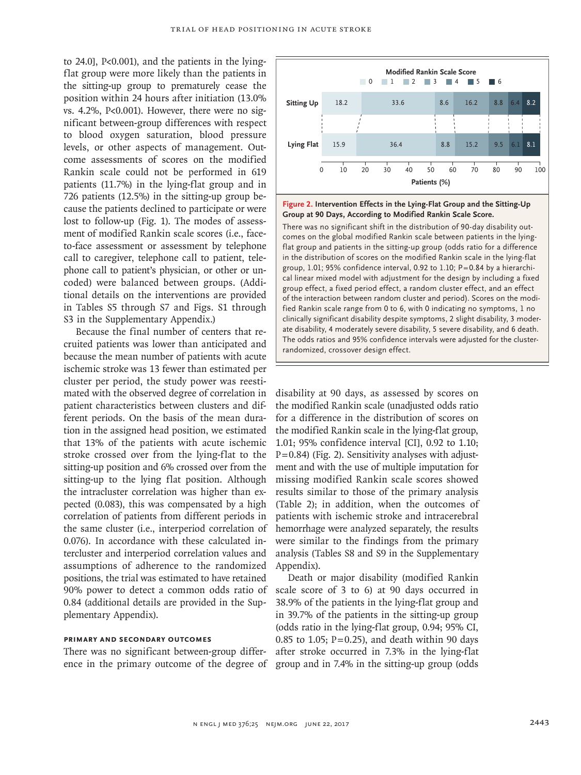to 24.0], P<0.001), and the patients in the lyingflat group were more likely than the patients in the sitting-up group to prematurely cease the position within 24 hours after initiation (13.0% vs. 4.2%, P<0.001). However, there were no significant between-group differences with respect to blood oxygen saturation, blood pressure levels, or other aspects of management. Outcome assessments of scores on the modified Rankin scale could not be performed in 619 patients (11.7%) in the lying-flat group and in 726 patients (12.5%) in the sitting-up group because the patients declined to participate or were lost to follow-up (Fig. 1). The modes of assessment of modified Rankin scale scores (i.e., faceto-face assessment or assessment by telephone call to caregiver, telephone call to patient, telephone call to patient's physician, or other or uncoded) were balanced between groups. (Additional details on the interventions are provided in Tables S5 through S7 and Figs. S1 through S3 in the Supplementary Appendix.)

Because the final number of centers that recruited patients was lower than anticipated and because the mean number of patients with acute ischemic stroke was 13 fewer than estimated per cluster per period, the study power was reestimated with the observed degree of correlation in patient characteristics between clusters and different periods. On the basis of the mean duration in the assigned head position, we estimated that 13% of the patients with acute ischemic stroke crossed over from the lying-flat to the sitting-up position and 6% crossed over from the sitting-up to the lying flat position. Although the intracluster correlation was higher than expected (0.083), this was compensated by a high correlation of patients from different periods in the same cluster (i.e., interperiod correlation of 0.076). In accordance with these calculated intercluster and interperiod correlation values and assumptions of adherence to the randomized positions, the trial was estimated to have retained 90% power to detect a common odds ratio of 0.84 (additional details are provided in the Supplementary Appendix).

# **Primary and Secondary Outcomes**

There was no significant between-group difference in the primary outcome of the degree of group and in 7.4% in the sitting-up group (odds



**Figure 2. Intervention Effects in the Lying-Flat Group and the Sitting-Up Group at 90 Days, According to Modified Rankin Scale Score.**

There was no significant shift in the distribution of 90-day disability outcomes on the global modified Rankin scale between patients in the lyingflat group and patients in the sitting-up group (odds ratio for a difference in the distribution of scores on the modified Rankin scale in the lying-flat group, 1.01; 95% confidence interval, 0.92 to 1.10; P=0.84 by a hierarchical linear mixed model with adjustment for the design by including a fixed group effect, a fixed period effect, a random cluster effect, and an effect of the interaction between random cluster and period). Scores on the modified Rankin scale range from 0 to 6, with 0 indicating no symptoms, 1 no clinically significant disability despite symptoms, 2 slight disability, 3 moder‑ ate disability, 4 moderately severe disability, 5 severe disability, and 6 death. The odds ratios and 95% confidence intervals were adjusted for the clusterrandomized, crossover design effect.

disability at 90 days, as assessed by scores on the modified Rankin scale (unadjusted odds ratio for a difference in the distribution of scores on the modified Rankin scale in the lying-flat group, 1.01; 95% confidence interval [CI], 0.92 to 1.10; P=0.84) (Fig. 2). Sensitivity analyses with adjustment and with the use of multiple imputation for missing modified Rankin scale scores showed results similar to those of the primary analysis (Table 2); in addition, when the outcomes of patients with ischemic stroke and intracerebral hemorrhage were analyzed separately, the results were similar to the findings from the primary analysis (Tables S8 and S9 in the Supplementary Appendix).

Death or major disability (modified Rankin scale score of 3 to 6) at 90 days occurred in 38.9% of the patients in the lying-flat group and in 39.7% of the patients in the sitting-up group (odds ratio in the lying-flat group, 0.94; 95% CI, 0.85 to 1.05;  $P = 0.25$ ), and death within 90 days after stroke occurred in 7.3% in the lying-flat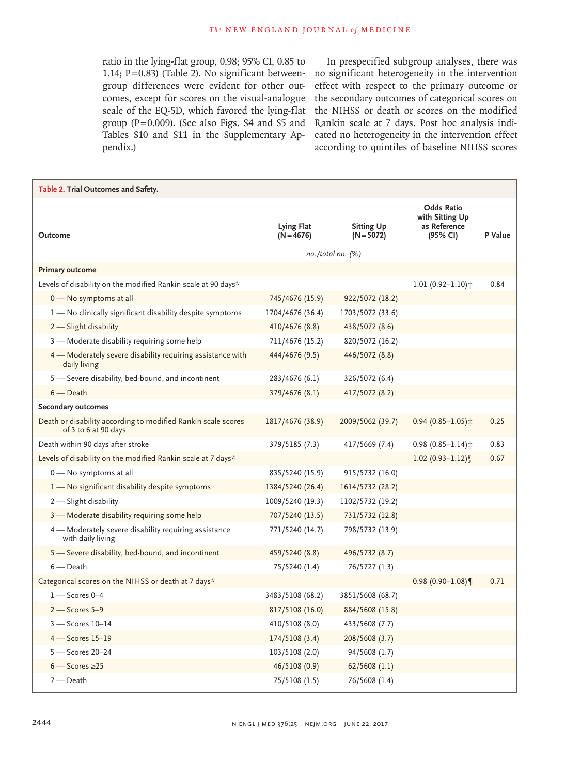ratio in the lying-flat group, 0.98; 95% CI, 0.85 to group differences were evident for other outcomes, except for scores on the visual-analogue scale of the EQ-5D, which favored the lying-flat group (P=0.009). (See also Figs. S4 and S5 and Tables S10 and S11 in the Supplementary Appendix.)

1.14; P=0.83) (Table 2). No significant between-no significant heterogeneity in the intervention In prespecified subgroup analyses, there was effect with respect to the primary outcome or the secondary outcomes of categorical scores on the NIHSS or death or scores on the modified Rankin scale at 7 days. Post hoc analysis indicated no heterogeneity in the intervention effect according to quintiles of baseline NIHSS scores

| Table 2. Trial Outcomes and Safety.                                                   |                            |                                                         |                                                                  |         |
|---------------------------------------------------------------------------------------|----------------------------|---------------------------------------------------------|------------------------------------------------------------------|---------|
| Outcome                                                                               | Lying Flat<br>$(N = 4676)$ | <b>Sitting Up</b><br>$(N = 5072)$<br>no. /total no. (%) | <b>Odds Ratio</b><br>with Sitting Up<br>as Reference<br>(95% CI) | P Value |
| <b>Primary outcome</b>                                                                |                            |                                                         |                                                                  |         |
| Levels of disability on the modified Rankin scale at 90 days*                         |                            |                                                         | $1.01(0.92 - 1.10)$ <sup>*</sup>                                 | 0.84    |
| 0 - No symptoms at all                                                                | 745/4676 (15.9)            | 922/5072 (18.2)                                         |                                                                  |         |
| 1 - No clinically significant disability despite symptoms                             | 1704/4676 (36.4)           | 1703/5072 (33.6)                                        |                                                                  |         |
| 2 - Slight disability                                                                 | 410/4676 (8.8)             | 438/5072 (8.6)                                          |                                                                  |         |
| 3 - Moderate disability requiring some help                                           | 711/4676 (15.2)            | 820/5072 (16.2)                                         |                                                                  |         |
| 4 – Moderately severe disability requiring assistance with<br>daily living            | 444/4676 (9.5)             | 446/5072 (8.8)                                          |                                                                  |         |
| 5 - Severe disability, bed-bound, and incontinent                                     | 283/4676 (6.1)             | 326/5072 (6.4)                                          |                                                                  |         |
| $6$ - Death                                                                           | 379/4676 (8.1)             | 417/5072 (8.2)                                          |                                                                  |         |
| Secondary outcomes                                                                    |                            |                                                         |                                                                  |         |
| Death or disability according to modified Rankin scale scores<br>of 3 to 6 at 90 days | 1817/4676 (38.9)           | 2009/5062 (39.7)                                        | 0.94 (0.85-1.05) $\hat{x}$                                       | 0.25    |
| Death within 90 days after stroke                                                     | 379/5185 (7.3)             | 417/5669 (7.4)                                          | 0.98 $(0.85 - 1.14)$ :                                           | 0.83    |
| Levels of disability on the modified Rankin scale at 7 days*                          |                            |                                                         | $1.02(0.93 - 1.12)$                                              | 0.67    |
| 0 - No symptoms at all                                                                | 835/5240 (15.9)            | 915/5732 (16.0)                                         |                                                                  |         |
| 1 - No significant disability despite symptoms                                        | 1384/5240 (26.4)           | 1614/5732 (28.2)                                        |                                                                  |         |
| 2 - Slight disability                                                                 | 1009/5240 (19.3)           | 1102/5732 (19.2)                                        |                                                                  |         |
| 3 - Moderate disability requiring some help                                           | 707/5240 (13.5)            | 731/5732 (12.8)                                         |                                                                  |         |
| 4 - Moderately severe disability requiring assistance<br>with daily living            | 771/5240 (14.7)            | 798/5732 (13.9)                                         |                                                                  |         |
| 5 - Severe disability, bed-bound, and incontinent                                     | 459/5240 (8.8)             | 496/5732 (8.7)                                          |                                                                  |         |
| $6$ – Death                                                                           | 75/5240 (1.4)              | 76/5727 (1.3)                                           |                                                                  |         |
| Categorical scores on the NIHSS or death at 7 days*                                   |                            |                                                         | $0.98(0.90 - 1.08)$                                              | 0.71    |
| $1 -$ Scores 0-4                                                                      | 3483/5108 (68.2)           | 3851/5608 (68.7)                                        |                                                                  |         |
| $2$ – Scores 5–9                                                                      | 817/5108 (16.0)            | 884/5608 (15.8)                                         |                                                                  |         |
| $3 -$ Scores 10-14                                                                    | 410/5108 (8.0)             | 433/5608 (7.7)                                          |                                                                  |         |
| $4 -$ Scores 15-19                                                                    | 174/5108 (3.4)             | 208/5608 (3.7)                                          |                                                                  |         |
| $5 -$ Scores 20-24                                                                    | 103/5108 (2.0)             | 94/5608 (1.7)                                           |                                                                  |         |
| $6 -$ Scores $\geq 25$                                                                | 46/5108 (0.9)              | $62/5608$ $(1.1)$                                       |                                                                  |         |
| $7$ - Death                                                                           | 75/5108 (1.5)              | 76/5608 (1.4)                                           |                                                                  |         |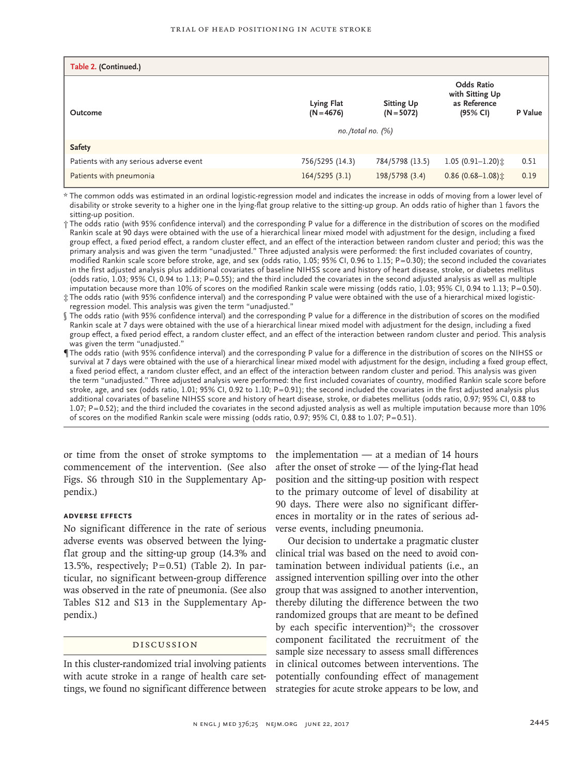| Table 2. (Continued.)                   |                                                       |                                   |                                                                  |         |
|-----------------------------------------|-------------------------------------------------------|-----------------------------------|------------------------------------------------------------------|---------|
| Outcome                                 | Lying Flat<br>$(N = 4676)$<br>$no. /total no.$ $(\%)$ | <b>Sitting Up</b><br>$(N = 5072)$ | <b>Odds Ratio</b><br>with Sitting Up<br>as Reference<br>(95% CI) | P Value |
| <b>Safety</b>                           |                                                       |                                   |                                                                  |         |
| Patients with any serious adverse event | 756/5295 (14.3)                                       | 784/5798 (13.5)                   | $1.05(0.91 - 1.20)$ ±                                            | 0.51    |
| Patients with pneumonia                 | 164/5295(3.1)                                         | 198/5798 (3.4)                    | $0.86$ (0.68-1.08) $\pm$                                         | 0.19    |

\* The common odds was estimated in an ordinal logistic-regression model and indicates the increase in odds of moving from a lower level of disability or stroke severity to a higher one in the lying-flat group relative to the sitting-up group. An odds ratio of higher than 1 favors the sitting-up position.

† The odds ratio (with 95% confidence interval) and the corresponding P value for a difference in the distribution of scores on the modified Rankin scale at 90 days were obtained with the use of a hierarchical linear mixed model with adjustment for the design, including a fixed group effect, a fixed period effect, a random cluster effect, and an effect of the interaction between random cluster and period; this was the primary analysis and was given the term "unadjusted." Three adjusted analysis were performed: the first included covariates of country, modified Rankin scale score before stroke, age, and sex (odds ratio, 1.05; 95% CI, 0.96 to 1.15; P=0.30); the second included the covariates in the first adjusted analysis plus additional covariates of baseline NIHSS score and history of heart disease, stroke, or diabetes mellitus (odds ratio, 1.03; 95% CI, 0.94 to 1.13; P=0.55); and the third included the covariates in the second adjusted analysis as well as multiple imputation because more than 10% of scores on the modified Rankin scale were missing (odds ratio, 1.03; 95% CI, 0.94 to 1.13; P=0.50).

‡ The odds ratio (with 95% confidence interval) and the corresponding P value were obtained with the use of a hierarchical mixed logistic-regression model. This analysis was given the term "unadjusted."

- § The odds ratio (with 95% confidence interval) and the corresponding P value for a difference in the distribution of scores on the modified Rankin scale at 7 days were obtained with the use of a hierarchical linear mixed model with adjustment for the design, including a fixed group effect, a fixed period effect, a random cluster effect, and an effect of the interaction between random cluster and period. This analysis was given the term "unadjusted."
- ¶ The odds ratio (with 95% confidence interval) and the corresponding P value for a difference in the distribution of scores on the NIHSS or survival at 7 days were obtained with the use of a hierarchical linear mixed model with adjustment for the design, including a fixed group effect, a fixed period effect, a random cluster effect, and an effect of the interaction between random cluster and period. This analysis was given the term "unadjusted." Three adjusted analysis were performed: the first included covariates of country, modified Rankin scale score before stroke, age, and sex (odds ratio, 1.01; 95% CI, 0.92 to 1.10; P=0.91); the second included the covariates in the first adjusted analysis plus additional covariates of baseline NIHSS score and history of heart disease, stroke, or diabetes mellitus (odds ratio, 0.97; 95% CI, 0.88 to 1.07; P=0.52); and the third included the covariates in the second adjusted analysis as well as multiple imputation because more than 10% of scores on the modified Rankin scale were missing (odds ratio, 0.97; 95% CI, 0.88 to 1.07; P=0.51).

commencement of the intervention. (See also Figs. S6 through S10 in the Supplementary Appendix.)

# **Adverse Effects**

No significant difference in the rate of serious adverse events was observed between the lyingflat group and the sitting-up group (14.3% and 13.5%, respectively;  $P=0.51$ ) (Table 2). In particular, no significant between-group difference was observed in the rate of pneumonia. (See also Tables S12 and S13 in the Supplementary Appendix.)

# Discussion

In this cluster-randomized trial involving patients with acute stroke in a range of health care settings, we found no significant difference between strategies for acute stroke appears to be low, and

or time from the onset of stroke symptoms to the implementation — at a median of 14 hours after the onset of stroke — of the lying-flat head position and the sitting-up position with respect to the primary outcome of level of disability at 90 days. There were also no significant differences in mortality or in the rates of serious adverse events, including pneumonia.

> Our decision to undertake a pragmatic cluster clinical trial was based on the need to avoid contamination between individual patients (i.e., an assigned intervention spilling over into the other group that was assigned to another intervention, thereby diluting the difference between the two randomized groups that are meant to be defined by each specific intervention) $26$ ; the crossover component facilitated the recruitment of the sample size necessary to assess small differences in clinical outcomes between interventions. The potentially confounding effect of management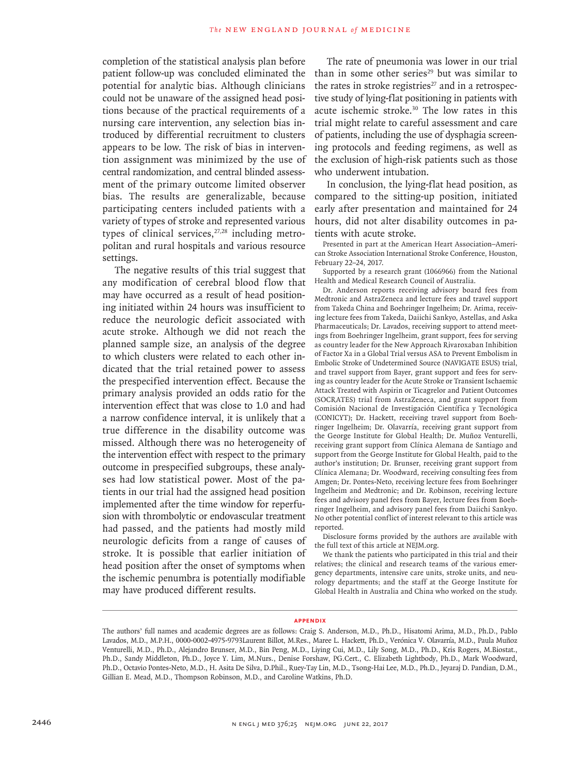completion of the statistical analysis plan before patient follow-up was concluded eliminated the potential for analytic bias. Although clinicians could not be unaware of the assigned head positions because of the practical requirements of a nursing care intervention, any selection bias introduced by differential recruitment to clusters appears to be low. The risk of bias in intervention assignment was minimized by the use of central randomization, and central blinded assessment of the primary outcome limited observer bias. The results are generalizable, because participating centers included patients with a variety of types of stroke and represented various types of clinical services, $27,28$  including metropolitan and rural hospitals and various resource settings.

The negative results of this trial suggest that any modification of cerebral blood flow that may have occurred as a result of head positioning initiated within 24 hours was insufficient to reduce the neurologic deficit associated with acute stroke. Although we did not reach the planned sample size, an analysis of the degree to which clusters were related to each other indicated that the trial retained power to assess the prespecified intervention effect. Because the primary analysis provided an odds ratio for the intervention effect that was close to 1.0 and had a narrow confidence interval, it is unlikely that a true difference in the disability outcome was missed. Although there was no heterogeneity of the intervention effect with respect to the primary outcome in prespecified subgroups, these analyses had low statistical power. Most of the patients in our trial had the assigned head position implemented after the time window for reperfusion with thrombolytic or endovascular treatment had passed, and the patients had mostly mild neurologic deficits from a range of causes of stroke. It is possible that earlier initiation of head position after the onset of symptoms when the ischemic penumbra is potentially modifiable may have produced different results.

The rate of pneumonia was lower in our trial than in some other series<sup>29</sup> but was similar to the rates in stroke registries $27$  and in a retrospective study of lying-flat positioning in patients with acute ischemic stroke.30 The low rates in this trial might relate to careful assessment and care of patients, including the use of dysphagia screening protocols and feeding regimens, as well as the exclusion of high-risk patients such as those who underwent intubation.

In conclusion, the lying-flat head position, as compared to the sitting-up position, initiated early after presentation and maintained for 24 hours, did not alter disability outcomes in patients with acute stroke.

Presented in part at the American Heart Association–American Stroke Association International Stroke Conference, Houston, February 22–24, 2017.

Supported by a research grant (1066966) from the National Health and Medical Research Council of Australia.

Dr. Anderson reports receiving advisory board fees from Medtronic and AstraZeneca and lecture fees and travel support from Takeda China and Boehringer Ingelheim; Dr. Arima, receiving lecture fees from Takeda, Daiichi Sankyo, Astellas, and Aska Pharmaceuticals; Dr. Lavados, receiving support to attend meetings from Boehringer Ingelheim, grant support, fees for serving as country leader for the New Approach Rivaroxaban Inhibition of Factor Xa in a Global Trial versus ASA to Prevent Embolism in Embolic Stroke of Undetermined Source (NAVIGATE ESUS) trial, and travel support from Bayer, grant support and fees for serving as country leader for the Acute Stroke or Transient Ischaemic Attack Treated with Aspirin or Ticagrelor and Patient Outcomes (SOCRATES) trial from AstraZeneca, and grant support from Comisión Nacional de Investigación Científica y Tecnológica (CONICYT); Dr. Hackett, receiving travel support from Boehringer Ingelheim; Dr. Olavarría, receiving grant support from the George Institute for Global Health; Dr. Muñoz Venturelli, receiving grant support from Clínica Alemana de Santiago and support from the George Institute for Global Health, paid to the author's institution; Dr. Brunser, receiving grant support from Clínica Alemana; Dr. Woodward, receiving consulting fees from Amgen; Dr. Pontes-Neto, receiving lecture fees from Boehringer Ingelheim and Medtronic; and Dr. Robinson, receiving lecture fees and advisory panel fees from Bayer, lecture fees from Boehringer Ingelheim, and advisory panel fees from Daiichi Sankyo. No other potential conflict of interest relevant to this article was reported.

Disclosure forms provided by the authors are available with the full text of this article at NEJM.org.

We thank the patients who participated in this trial and their relatives; the clinical and research teams of the various emergency departments, intensive care units, stroke units, and neurology departments; and the staff at the George Institute for Global Health in Australia and China who worked on the study.

#### **Appendix**

The authors' full names and academic degrees are as follows: Craig S. Anderson, M.D., Ph.D., Hisatomi Arima, M.D., Ph.D., Pablo Lavados, M.D., M.P.H., 0000-0002-4975-9793Laurent Billot, M.Res., Maree L. Hackett, Ph.D., Verónica V. Olavarría, M.D., Paula Muñoz Venturelli, M.D., Ph.D., Alejandro Brunser, M.D., Bin Peng, M.D., Liying Cui, M.D., Lily Song, M.D., Ph.D., Kris Rogers, M.Biostat., Ph.D., Sandy Middleton, Ph.D., Joyce Y. Lim, M.Nurs., Denise Forshaw, PG.Cert., C. Elizabeth Lightbody, Ph.D., Mark Woodward, Ph.D., Octavio Pontes-Neto, M.D., H. Asita De Silva, D.Phil., Ruey-Tay Lin, M.D., Tsong-Hai Lee, M.D., Ph.D., Jeyaraj D. Pandian, D.M., Gillian E. Mead, M.D., Thompson Robinson, M.D., and Caroline Watkins, Ph.D.